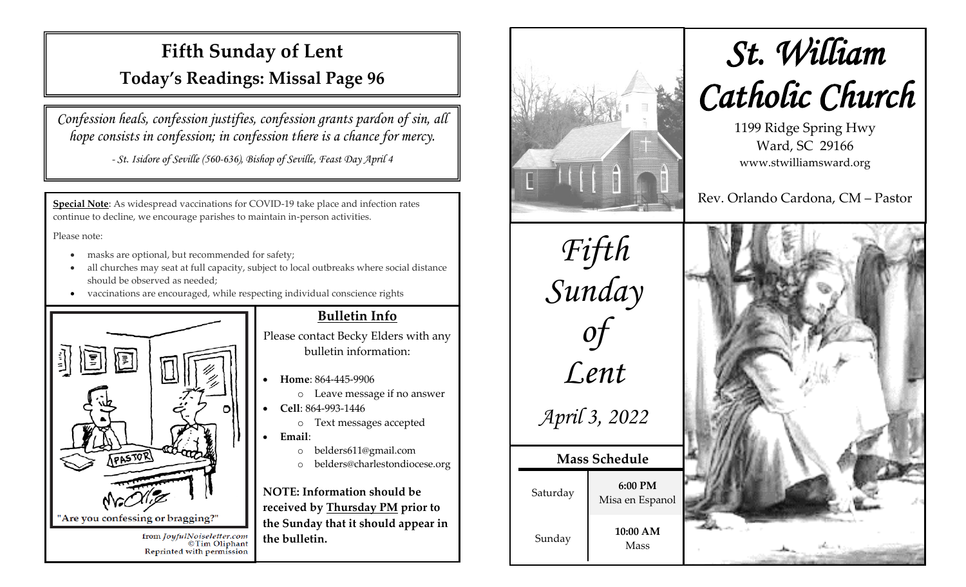# **Fifth Sunday of Lent Today's Readings: Missal Page 96**

*Confession heals, confession justifies, confession grants pardon of sin, all hope consists in confession; in confession there is a chance for mercy.*

*- St. Isidore of Seville (560-636), Bishop of Seville, Feast Day April 4*

**Special Note**: As widespread vaccinations for COVID-19 take place and infection rates continue to decline, we encourage parishes to maintain in-person activities.

Please note:

- masks are optional, but recommended for safety;
- all churches may seat at full capacity, subject to local outbreaks where social distance should be observed as needed;
- vaccinations are encouraged, while respecting individual conscience rights



# **Bulletin Info**

Please contact Becky Elders with any bulletin information:

- **Home**: 864-445-9906
	- o Leave message if no answer
- **Cell**: 864-993-1446
	- o Text messages accepted
- **Email**:
	- o belders611@gmail.com
	- o belders@charlestondiocese.org

**NOTE: Information should be received by Thursday PM prior to the Sunday that it should appear in the bulletin.**